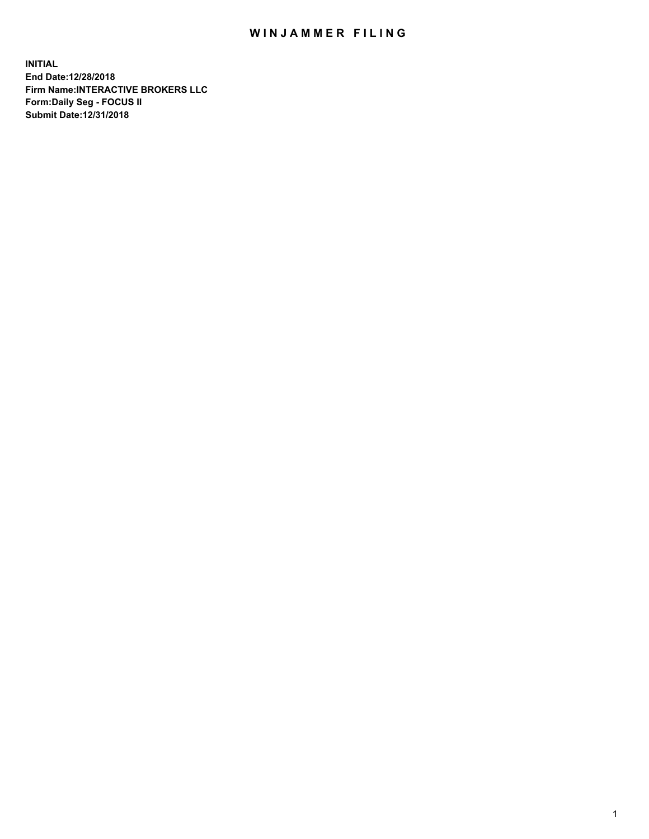## WIN JAMMER FILING

**INITIAL End Date:12/28/2018 Firm Name:INTERACTIVE BROKERS LLC Form:Daily Seg - FOCUS II Submit Date:12/31/2018**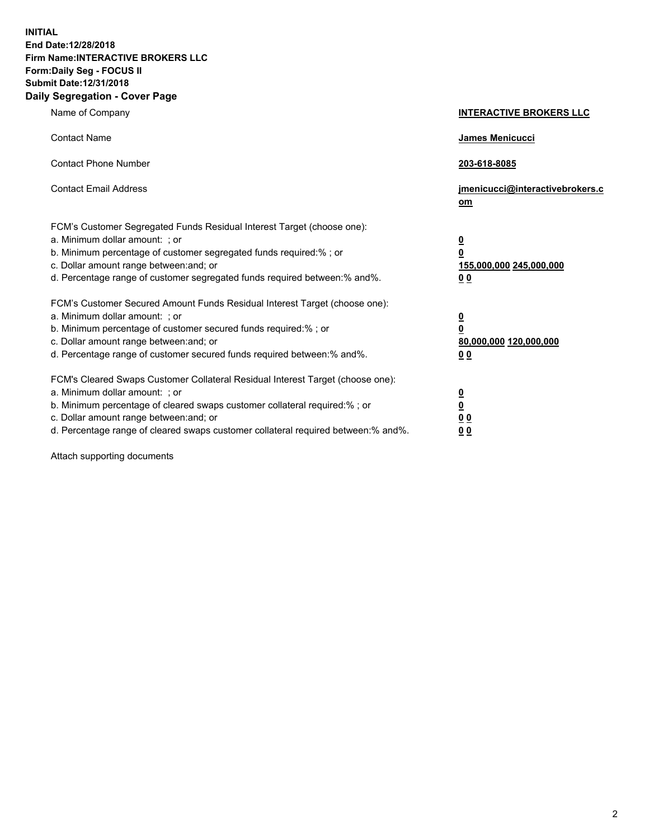**INITIAL End Date:12/28/2018 Firm Name:INTERACTIVE BROKERS LLC Form:Daily Seg - FOCUS II Submit Date:12/31/2018 Daily Segregation - Cover Page**

| Name of Company                                                                                                                                                                                                                                                                                                                | <b>INTERACTIVE BROKERS LLC</b>                                                                  |
|--------------------------------------------------------------------------------------------------------------------------------------------------------------------------------------------------------------------------------------------------------------------------------------------------------------------------------|-------------------------------------------------------------------------------------------------|
| <b>Contact Name</b>                                                                                                                                                                                                                                                                                                            | James Menicucci                                                                                 |
| <b>Contact Phone Number</b>                                                                                                                                                                                                                                                                                                    | 203-618-8085                                                                                    |
| <b>Contact Email Address</b>                                                                                                                                                                                                                                                                                                   | jmenicucci@interactivebrokers.c<br>om                                                           |
| FCM's Customer Segregated Funds Residual Interest Target (choose one):<br>a. Minimum dollar amount: ; or<br>b. Minimum percentage of customer segregated funds required:%; or<br>c. Dollar amount range between: and; or<br>d. Percentage range of customer segregated funds required between:% and%.                          | $\overline{\mathbf{0}}$<br>$\overline{\mathbf{0}}$<br>155,000,000 245,000,000<br>0 <sub>0</sub> |
| FCM's Customer Secured Amount Funds Residual Interest Target (choose one):<br>a. Minimum dollar amount: ; or<br>b. Minimum percentage of customer secured funds required:% ; or<br>c. Dollar amount range between: and; or<br>d. Percentage range of customer secured funds required between:% and%.                           | $\overline{\mathbf{0}}$<br>$\overline{\mathbf{0}}$<br>80,000,000 120,000,000<br>0 <sub>0</sub>  |
| FCM's Cleared Swaps Customer Collateral Residual Interest Target (choose one):<br>a. Minimum dollar amount: ; or<br>b. Minimum percentage of cleared swaps customer collateral required:% ; or<br>c. Dollar amount range between: and; or<br>d. Percentage range of cleared swaps customer collateral required between:% and%. | $\overline{\mathbf{0}}$<br>$\underline{\mathbf{0}}$<br>0 <sub>0</sub><br>0 <sub>0</sub>         |

Attach supporting documents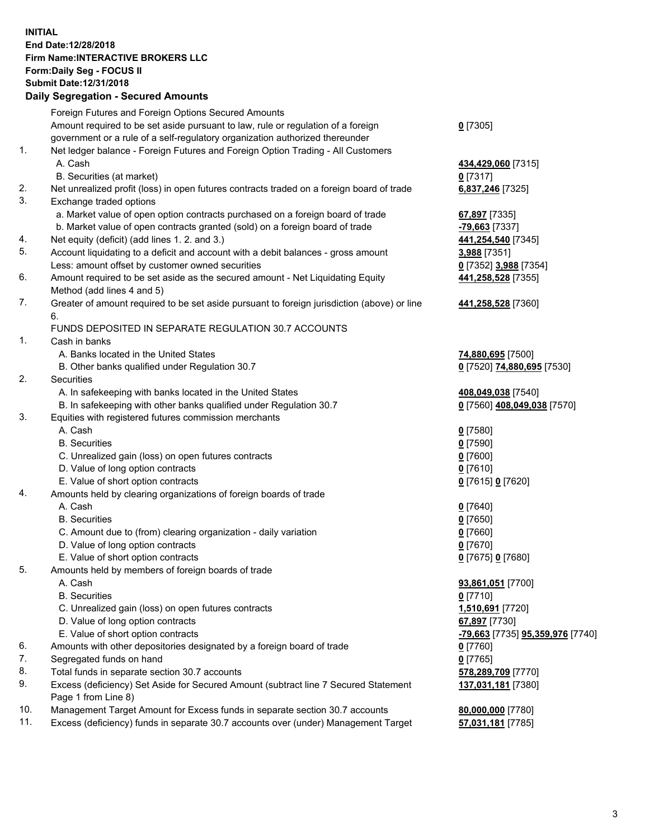## **INITIAL End Date:12/28/2018 Firm Name:INTERACTIVE BROKERS LLC Form:Daily Seg - FOCUS II Submit Date:12/31/2018 Daily Segregation - Secured Amounts**

| Dany Segregation - Secured Amounts                                                        |                                                                                                                                                                                                                                                                                                                                                                                                                                                                                                                                                                                                                                                                                                                                                                                                                                                                                                                                                                                                                                                                                                                                                                                                                                                                                                                                                                                                                                                                                                                                                                                                                                                                                                                                                                                                                                                                                                                                                     |
|-------------------------------------------------------------------------------------------|-----------------------------------------------------------------------------------------------------------------------------------------------------------------------------------------------------------------------------------------------------------------------------------------------------------------------------------------------------------------------------------------------------------------------------------------------------------------------------------------------------------------------------------------------------------------------------------------------------------------------------------------------------------------------------------------------------------------------------------------------------------------------------------------------------------------------------------------------------------------------------------------------------------------------------------------------------------------------------------------------------------------------------------------------------------------------------------------------------------------------------------------------------------------------------------------------------------------------------------------------------------------------------------------------------------------------------------------------------------------------------------------------------------------------------------------------------------------------------------------------------------------------------------------------------------------------------------------------------------------------------------------------------------------------------------------------------------------------------------------------------------------------------------------------------------------------------------------------------------------------------------------------------------------------------------------------------|
| Foreign Futures and Foreign Options Secured Amounts                                       |                                                                                                                                                                                                                                                                                                                                                                                                                                                                                                                                                                                                                                                                                                                                                                                                                                                                                                                                                                                                                                                                                                                                                                                                                                                                                                                                                                                                                                                                                                                                                                                                                                                                                                                                                                                                                                                                                                                                                     |
| Amount required to be set aside pursuant to law, rule or regulation of a foreign          | $0$ [7305]                                                                                                                                                                                                                                                                                                                                                                                                                                                                                                                                                                                                                                                                                                                                                                                                                                                                                                                                                                                                                                                                                                                                                                                                                                                                                                                                                                                                                                                                                                                                                                                                                                                                                                                                                                                                                                                                                                                                          |
| government or a rule of a self-regulatory organization authorized thereunder              |                                                                                                                                                                                                                                                                                                                                                                                                                                                                                                                                                                                                                                                                                                                                                                                                                                                                                                                                                                                                                                                                                                                                                                                                                                                                                                                                                                                                                                                                                                                                                                                                                                                                                                                                                                                                                                                                                                                                                     |
| Net ledger balance - Foreign Futures and Foreign Option Trading - All Customers           |                                                                                                                                                                                                                                                                                                                                                                                                                                                                                                                                                                                                                                                                                                                                                                                                                                                                                                                                                                                                                                                                                                                                                                                                                                                                                                                                                                                                                                                                                                                                                                                                                                                                                                                                                                                                                                                                                                                                                     |
| A. Cash                                                                                   | 434,429,060 [7315]                                                                                                                                                                                                                                                                                                                                                                                                                                                                                                                                                                                                                                                                                                                                                                                                                                                                                                                                                                                                                                                                                                                                                                                                                                                                                                                                                                                                                                                                                                                                                                                                                                                                                                                                                                                                                                                                                                                                  |
| B. Securities (at market)                                                                 | $0$ [7317]                                                                                                                                                                                                                                                                                                                                                                                                                                                                                                                                                                                                                                                                                                                                                                                                                                                                                                                                                                                                                                                                                                                                                                                                                                                                                                                                                                                                                                                                                                                                                                                                                                                                                                                                                                                                                                                                                                                                          |
| Net unrealized profit (loss) in open futures contracts traded on a foreign board of trade | 6,837,246 [7325]                                                                                                                                                                                                                                                                                                                                                                                                                                                                                                                                                                                                                                                                                                                                                                                                                                                                                                                                                                                                                                                                                                                                                                                                                                                                                                                                                                                                                                                                                                                                                                                                                                                                                                                                                                                                                                                                                                                                    |
|                                                                                           |                                                                                                                                                                                                                                                                                                                                                                                                                                                                                                                                                                                                                                                                                                                                                                                                                                                                                                                                                                                                                                                                                                                                                                                                                                                                                                                                                                                                                                                                                                                                                                                                                                                                                                                                                                                                                                                                                                                                                     |
| a. Market value of open option contracts purchased on a foreign board of trade            | 67,897 [7335]                                                                                                                                                                                                                                                                                                                                                                                                                                                                                                                                                                                                                                                                                                                                                                                                                                                                                                                                                                                                                                                                                                                                                                                                                                                                                                                                                                                                                                                                                                                                                                                                                                                                                                                                                                                                                                                                                                                                       |
|                                                                                           | -79,663 [7337]                                                                                                                                                                                                                                                                                                                                                                                                                                                                                                                                                                                                                                                                                                                                                                                                                                                                                                                                                                                                                                                                                                                                                                                                                                                                                                                                                                                                                                                                                                                                                                                                                                                                                                                                                                                                                                                                                                                                      |
| Net equity (deficit) (add lines 1. 2. and 3.)                                             | 441,254,540 [7345]                                                                                                                                                                                                                                                                                                                                                                                                                                                                                                                                                                                                                                                                                                                                                                                                                                                                                                                                                                                                                                                                                                                                                                                                                                                                                                                                                                                                                                                                                                                                                                                                                                                                                                                                                                                                                                                                                                                                  |
|                                                                                           | 3,988 [7351]                                                                                                                                                                                                                                                                                                                                                                                                                                                                                                                                                                                                                                                                                                                                                                                                                                                                                                                                                                                                                                                                                                                                                                                                                                                                                                                                                                                                                                                                                                                                                                                                                                                                                                                                                                                                                                                                                                                                        |
|                                                                                           | 0 [7352] 3,988 [7354]                                                                                                                                                                                                                                                                                                                                                                                                                                                                                                                                                                                                                                                                                                                                                                                                                                                                                                                                                                                                                                                                                                                                                                                                                                                                                                                                                                                                                                                                                                                                                                                                                                                                                                                                                                                                                                                                                                                               |
|                                                                                           | 441,258,528 [7355]                                                                                                                                                                                                                                                                                                                                                                                                                                                                                                                                                                                                                                                                                                                                                                                                                                                                                                                                                                                                                                                                                                                                                                                                                                                                                                                                                                                                                                                                                                                                                                                                                                                                                                                                                                                                                                                                                                                                  |
|                                                                                           |                                                                                                                                                                                                                                                                                                                                                                                                                                                                                                                                                                                                                                                                                                                                                                                                                                                                                                                                                                                                                                                                                                                                                                                                                                                                                                                                                                                                                                                                                                                                                                                                                                                                                                                                                                                                                                                                                                                                                     |
|                                                                                           | 441,258,528 [7360]                                                                                                                                                                                                                                                                                                                                                                                                                                                                                                                                                                                                                                                                                                                                                                                                                                                                                                                                                                                                                                                                                                                                                                                                                                                                                                                                                                                                                                                                                                                                                                                                                                                                                                                                                                                                                                                                                                                                  |
|                                                                                           |                                                                                                                                                                                                                                                                                                                                                                                                                                                                                                                                                                                                                                                                                                                                                                                                                                                                                                                                                                                                                                                                                                                                                                                                                                                                                                                                                                                                                                                                                                                                                                                                                                                                                                                                                                                                                                                                                                                                                     |
|                                                                                           |                                                                                                                                                                                                                                                                                                                                                                                                                                                                                                                                                                                                                                                                                                                                                                                                                                                                                                                                                                                                                                                                                                                                                                                                                                                                                                                                                                                                                                                                                                                                                                                                                                                                                                                                                                                                                                                                                                                                                     |
|                                                                                           |                                                                                                                                                                                                                                                                                                                                                                                                                                                                                                                                                                                                                                                                                                                                                                                                                                                                                                                                                                                                                                                                                                                                                                                                                                                                                                                                                                                                                                                                                                                                                                                                                                                                                                                                                                                                                                                                                                                                                     |
|                                                                                           | 74,880,695 [7500]                                                                                                                                                                                                                                                                                                                                                                                                                                                                                                                                                                                                                                                                                                                                                                                                                                                                                                                                                                                                                                                                                                                                                                                                                                                                                                                                                                                                                                                                                                                                                                                                                                                                                                                                                                                                                                                                                                                                   |
|                                                                                           | 0 [7520] 74,880,695 [7530]                                                                                                                                                                                                                                                                                                                                                                                                                                                                                                                                                                                                                                                                                                                                                                                                                                                                                                                                                                                                                                                                                                                                                                                                                                                                                                                                                                                                                                                                                                                                                                                                                                                                                                                                                                                                                                                                                                                          |
|                                                                                           |                                                                                                                                                                                                                                                                                                                                                                                                                                                                                                                                                                                                                                                                                                                                                                                                                                                                                                                                                                                                                                                                                                                                                                                                                                                                                                                                                                                                                                                                                                                                                                                                                                                                                                                                                                                                                                                                                                                                                     |
|                                                                                           | 408,049,038 [7540]                                                                                                                                                                                                                                                                                                                                                                                                                                                                                                                                                                                                                                                                                                                                                                                                                                                                                                                                                                                                                                                                                                                                                                                                                                                                                                                                                                                                                                                                                                                                                                                                                                                                                                                                                                                                                                                                                                                                  |
|                                                                                           | 0 [7560] 408,049,038 [7570]                                                                                                                                                                                                                                                                                                                                                                                                                                                                                                                                                                                                                                                                                                                                                                                                                                                                                                                                                                                                                                                                                                                                                                                                                                                                                                                                                                                                                                                                                                                                                                                                                                                                                                                                                                                                                                                                                                                         |
|                                                                                           |                                                                                                                                                                                                                                                                                                                                                                                                                                                                                                                                                                                                                                                                                                                                                                                                                                                                                                                                                                                                                                                                                                                                                                                                                                                                                                                                                                                                                                                                                                                                                                                                                                                                                                                                                                                                                                                                                                                                                     |
|                                                                                           | $0$ [7580]                                                                                                                                                                                                                                                                                                                                                                                                                                                                                                                                                                                                                                                                                                                                                                                                                                                                                                                                                                                                                                                                                                                                                                                                                                                                                                                                                                                                                                                                                                                                                                                                                                                                                                                                                                                                                                                                                                                                          |
|                                                                                           | $0$ [7590]                                                                                                                                                                                                                                                                                                                                                                                                                                                                                                                                                                                                                                                                                                                                                                                                                                                                                                                                                                                                                                                                                                                                                                                                                                                                                                                                                                                                                                                                                                                                                                                                                                                                                                                                                                                                                                                                                                                                          |
|                                                                                           | $0$ [7600]                                                                                                                                                                                                                                                                                                                                                                                                                                                                                                                                                                                                                                                                                                                                                                                                                                                                                                                                                                                                                                                                                                                                                                                                                                                                                                                                                                                                                                                                                                                                                                                                                                                                                                                                                                                                                                                                                                                                          |
|                                                                                           | $0$ [7610]                                                                                                                                                                                                                                                                                                                                                                                                                                                                                                                                                                                                                                                                                                                                                                                                                                                                                                                                                                                                                                                                                                                                                                                                                                                                                                                                                                                                                                                                                                                                                                                                                                                                                                                                                                                                                                                                                                                                          |
|                                                                                           | 0 [7615] 0 [7620]                                                                                                                                                                                                                                                                                                                                                                                                                                                                                                                                                                                                                                                                                                                                                                                                                                                                                                                                                                                                                                                                                                                                                                                                                                                                                                                                                                                                                                                                                                                                                                                                                                                                                                                                                                                                                                                                                                                                   |
|                                                                                           |                                                                                                                                                                                                                                                                                                                                                                                                                                                                                                                                                                                                                                                                                                                                                                                                                                                                                                                                                                                                                                                                                                                                                                                                                                                                                                                                                                                                                                                                                                                                                                                                                                                                                                                                                                                                                                                                                                                                                     |
|                                                                                           | $0$ [7640]                                                                                                                                                                                                                                                                                                                                                                                                                                                                                                                                                                                                                                                                                                                                                                                                                                                                                                                                                                                                                                                                                                                                                                                                                                                                                                                                                                                                                                                                                                                                                                                                                                                                                                                                                                                                                                                                                                                                          |
|                                                                                           | $0$ [7650]                                                                                                                                                                                                                                                                                                                                                                                                                                                                                                                                                                                                                                                                                                                                                                                                                                                                                                                                                                                                                                                                                                                                                                                                                                                                                                                                                                                                                                                                                                                                                                                                                                                                                                                                                                                                                                                                                                                                          |
|                                                                                           | $0$ [7660]                                                                                                                                                                                                                                                                                                                                                                                                                                                                                                                                                                                                                                                                                                                                                                                                                                                                                                                                                                                                                                                                                                                                                                                                                                                                                                                                                                                                                                                                                                                                                                                                                                                                                                                                                                                                                                                                                                                                          |
|                                                                                           | $0$ [7670]                                                                                                                                                                                                                                                                                                                                                                                                                                                                                                                                                                                                                                                                                                                                                                                                                                                                                                                                                                                                                                                                                                                                                                                                                                                                                                                                                                                                                                                                                                                                                                                                                                                                                                                                                                                                                                                                                                                                          |
|                                                                                           | 0 [7675] 0 [7680]                                                                                                                                                                                                                                                                                                                                                                                                                                                                                                                                                                                                                                                                                                                                                                                                                                                                                                                                                                                                                                                                                                                                                                                                                                                                                                                                                                                                                                                                                                                                                                                                                                                                                                                                                                                                                                                                                                                                   |
|                                                                                           |                                                                                                                                                                                                                                                                                                                                                                                                                                                                                                                                                                                                                                                                                                                                                                                                                                                                                                                                                                                                                                                                                                                                                                                                                                                                                                                                                                                                                                                                                                                                                                                                                                                                                                                                                                                                                                                                                                                                                     |
|                                                                                           | 93,861,051 [7700]                                                                                                                                                                                                                                                                                                                                                                                                                                                                                                                                                                                                                                                                                                                                                                                                                                                                                                                                                                                                                                                                                                                                                                                                                                                                                                                                                                                                                                                                                                                                                                                                                                                                                                                                                                                                                                                                                                                                   |
|                                                                                           | $0$ [7710]                                                                                                                                                                                                                                                                                                                                                                                                                                                                                                                                                                                                                                                                                                                                                                                                                                                                                                                                                                                                                                                                                                                                                                                                                                                                                                                                                                                                                                                                                                                                                                                                                                                                                                                                                                                                                                                                                                                                          |
|                                                                                           | 1,510,691 [7720]                                                                                                                                                                                                                                                                                                                                                                                                                                                                                                                                                                                                                                                                                                                                                                                                                                                                                                                                                                                                                                                                                                                                                                                                                                                                                                                                                                                                                                                                                                                                                                                                                                                                                                                                                                                                                                                                                                                                    |
|                                                                                           | 67,897 [7730]                                                                                                                                                                                                                                                                                                                                                                                                                                                                                                                                                                                                                                                                                                                                                                                                                                                                                                                                                                                                                                                                                                                                                                                                                                                                                                                                                                                                                                                                                                                                                                                                                                                                                                                                                                                                                                                                                                                                       |
|                                                                                           | <mark>-79,663</mark> [7735] <b>95,359,976</b> [7740]                                                                                                                                                                                                                                                                                                                                                                                                                                                                                                                                                                                                                                                                                                                                                                                                                                                                                                                                                                                                                                                                                                                                                                                                                                                                                                                                                                                                                                                                                                                                                                                                                                                                                                                                                                                                                                                                                                |
|                                                                                           | $0$ [7760]                                                                                                                                                                                                                                                                                                                                                                                                                                                                                                                                                                                                                                                                                                                                                                                                                                                                                                                                                                                                                                                                                                                                                                                                                                                                                                                                                                                                                                                                                                                                                                                                                                                                                                                                                                                                                                                                                                                                          |
|                                                                                           | $0$ [7765]                                                                                                                                                                                                                                                                                                                                                                                                                                                                                                                                                                                                                                                                                                                                                                                                                                                                                                                                                                                                                                                                                                                                                                                                                                                                                                                                                                                                                                                                                                                                                                                                                                                                                                                                                                                                                                                                                                                                          |
|                                                                                           | 578,289,709 [7770]                                                                                                                                                                                                                                                                                                                                                                                                                                                                                                                                                                                                                                                                                                                                                                                                                                                                                                                                                                                                                                                                                                                                                                                                                                                                                                                                                                                                                                                                                                                                                                                                                                                                                                                                                                                                                                                                                                                                  |
|                                                                                           | 137,031,181 [7380]                                                                                                                                                                                                                                                                                                                                                                                                                                                                                                                                                                                                                                                                                                                                                                                                                                                                                                                                                                                                                                                                                                                                                                                                                                                                                                                                                                                                                                                                                                                                                                                                                                                                                                                                                                                                                                                                                                                                  |
|                                                                                           | 80,000,000 [7780]                                                                                                                                                                                                                                                                                                                                                                                                                                                                                                                                                                                                                                                                                                                                                                                                                                                                                                                                                                                                                                                                                                                                                                                                                                                                                                                                                                                                                                                                                                                                                                                                                                                                                                                                                                                                                                                                                                                                   |
|                                                                                           | 57,031,181 [7785]                                                                                                                                                                                                                                                                                                                                                                                                                                                                                                                                                                                                                                                                                                                                                                                                                                                                                                                                                                                                                                                                                                                                                                                                                                                                                                                                                                                                                                                                                                                                                                                                                                                                                                                                                                                                                                                                                                                                   |
|                                                                                           |                                                                                                                                                                                                                                                                                                                                                                                                                                                                                                                                                                                                                                                                                                                                                                                                                                                                                                                                                                                                                                                                                                                                                                                                                                                                                                                                                                                                                                                                                                                                                                                                                                                                                                                                                                                                                                                                                                                                                     |
|                                                                                           | Exchange traded options<br>b. Market value of open contracts granted (sold) on a foreign board of trade<br>Account liquidating to a deficit and account with a debit balances - gross amount<br>Less: amount offset by customer owned securities<br>Amount required to be set aside as the secured amount - Net Liquidating Equity<br>Method (add lines 4 and 5)<br>Greater of amount required to be set aside pursuant to foreign jurisdiction (above) or line<br>6.<br>FUNDS DEPOSITED IN SEPARATE REGULATION 30.7 ACCOUNTS<br>Cash in banks<br>A. Banks located in the United States<br>B. Other banks qualified under Regulation 30.7<br>Securities<br>A. In safekeeping with banks located in the United States<br>B. In safekeeping with other banks qualified under Regulation 30.7<br>Equities with registered futures commission merchants<br>A. Cash<br><b>B.</b> Securities<br>C. Unrealized gain (loss) on open futures contracts<br>D. Value of long option contracts<br>E. Value of short option contracts<br>Amounts held by clearing organizations of foreign boards of trade<br>A. Cash<br><b>B.</b> Securities<br>C. Amount due to (from) clearing organization - daily variation<br>D. Value of long option contracts<br>E. Value of short option contracts<br>Amounts held by members of foreign boards of trade<br>A. Cash<br><b>B.</b> Securities<br>C. Unrealized gain (loss) on open futures contracts<br>D. Value of long option contracts<br>E. Value of short option contracts<br>Amounts with other depositories designated by a foreign board of trade<br>Segregated funds on hand<br>Total funds in separate section 30.7 accounts<br>Excess (deficiency) Set Aside for Secured Amount (subtract line 7 Secured Statement<br>Page 1 from Line 8)<br>Management Target Amount for Excess funds in separate section 30.7 accounts<br>Excess (deficiency) funds in separate 30.7 accounts over (under) Management Target |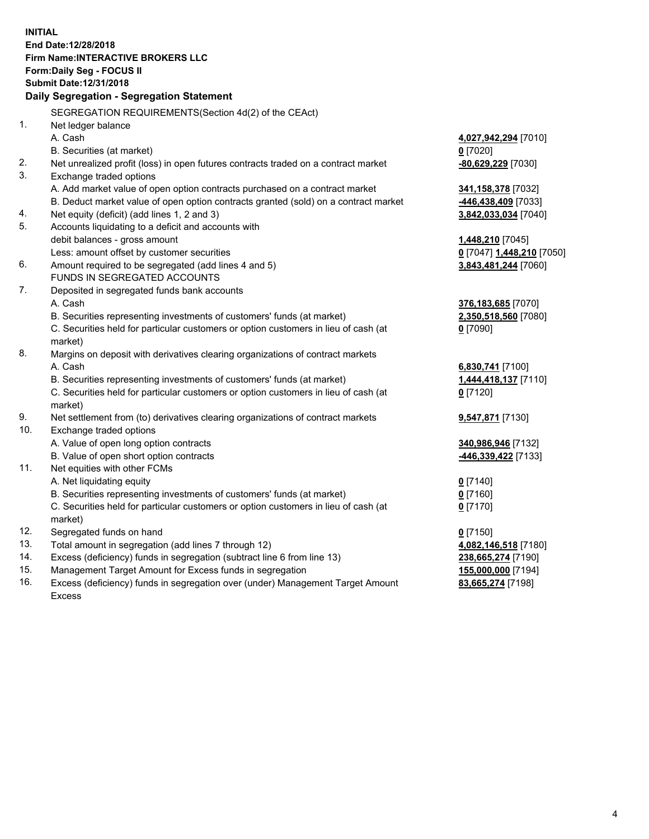**INITIAL End Date:12/28/2018 Firm Name:INTERACTIVE BROKERS LLC Form:Daily Seg - FOCUS II Submit Date:12/31/2018 Daily Segregation - Segregation Statement** SEGREGATION REQUIREMENTS(Section 4d(2) of the CEAct) 1. Net ledger balance A. Cash **4,027,942,294** [7010] B. Securities (at market) **0** [7020] 2. Net unrealized profit (loss) in open futures contracts traded on a contract market **-80,629,229** [7030] 3. Exchange traded options A. Add market value of open option contracts purchased on a contract market **341,158,378** [7032] B. Deduct market value of open option contracts granted (sold) on a contract market **-446,438,409** [7033] 4. Net equity (deficit) (add lines 1, 2 and 3) **3,842,033,034** [7040] 5. Accounts liquidating to a deficit and accounts with debit balances - gross amount **1,448,210** [7045] Less: amount offset by customer securities **0** [7047] **1,448,210** [7050] 6. Amount required to be segregated (add lines 4 and 5) **3,843,481,244** [7060] FUNDS IN SEGREGATED ACCOUNTS 7. Deposited in segregated funds bank accounts A. Cash **376,183,685** [7070] B. Securities representing investments of customers' funds (at market) **2,350,518,560** [7080] C. Securities held for particular customers or option customers in lieu of cash (at market) **0** [7090] 8. Margins on deposit with derivatives clearing organizations of contract markets A. Cash **6,830,741** [7100] B. Securities representing investments of customers' funds (at market) **1,444,418,137** [7110] C. Securities held for particular customers or option customers in lieu of cash (at market) **0** [7120] 9. Net settlement from (to) derivatives clearing organizations of contract markets **9,547,871** [7130] 10. Exchange traded options A. Value of open long option contracts **340,986,946** [7132] B. Value of open short option contracts **-446,339,422** [7133] 11. Net equities with other FCMs A. Net liquidating equity **0** [7140] B. Securities representing investments of customers' funds (at market) **0** [7160] C. Securities held for particular customers or option customers in lieu of cash (at market) **0** [7170] 12. Segregated funds on hand **0** [7150] 13. Total amount in segregation (add lines 7 through 12) **4,082,146,518** [7180] 14. Excess (deficiency) funds in segregation (subtract line 6 from line 13) **238,665,274** [7190] 15. Management Target Amount for Excess funds in segregation **155,000,000** [7194] **83,665,274** [7198]

16. Excess (deficiency) funds in segregation over (under) Management Target Amount Excess